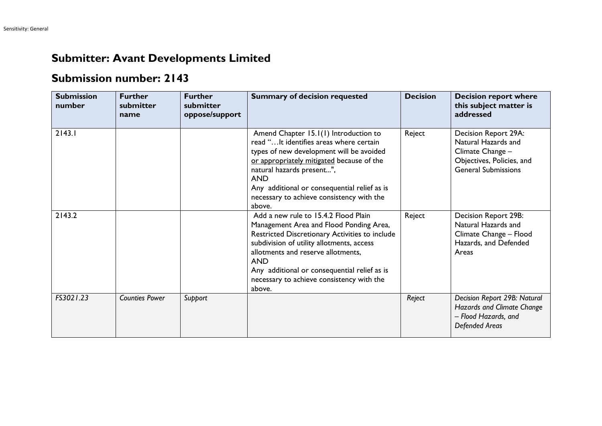## **Submitter: Avant Developments Limited**

## **Submission number: 2143**

| <b>Submission</b><br>number | <b>Further</b><br>submitter<br>name | <b>Further</b><br>submitter<br>oppose/support | <b>Summary of decision requested</b>                                                                                                                                                                                                                                                                                                      | <b>Decision</b> | <b>Decision report where</b><br>this subject matter is<br>addressed                                                        |
|-----------------------------|-------------------------------------|-----------------------------------------------|-------------------------------------------------------------------------------------------------------------------------------------------------------------------------------------------------------------------------------------------------------------------------------------------------------------------------------------------|-----------------|----------------------------------------------------------------------------------------------------------------------------|
| 2143.1                      |                                     |                                               | Amend Chapter 15.1(1) Introduction to<br>read " It identifies areas where certain<br>types of new development will be avoided<br>or appropriately mitigated because of the<br>natural hazards present",<br><b>AND</b><br>Any additional or consequential relief as is<br>necessary to achieve consistency with the<br>above.              | Reject          | Decision Report 29A:<br>Natural Hazards and<br>Climate Change -<br>Objectives, Policies, and<br><b>General Submissions</b> |
| 2143.2                      |                                     |                                               | Add a new rule to 15.4.2 Flood Plain<br>Management Area and Flood Ponding Area,<br>Restricted Discretionary Activities to include<br>subdivision of utility allotments, access<br>allotments and reserve allotments,<br><b>AND</b><br>Any additional or consequential relief as is<br>necessary to achieve consistency with the<br>above. | Reject          | Decision Report 29B:<br>Natural Hazards and<br>Climate Change - Flood<br>Hazards, and Defended<br>Areas                    |
| FS3021.23                   | <b>Counties Power</b>               | Support                                       |                                                                                                                                                                                                                                                                                                                                           | Reject          | Decision Report 29B: Natural<br>Hazards and Climate Change<br>- Flood Hazards, and<br><b>Defended Areas</b>                |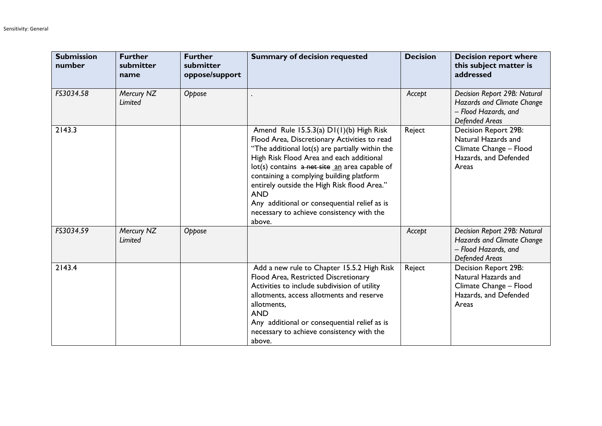| <b>Submission</b><br>number | <b>Further</b><br>submitter<br>name | <b>Further</b><br>submitter<br>oppose/support | <b>Summary of decision requested</b>                                                                                                                                                                                                                                                                                                                                                                                                                    | <b>Decision</b> | <b>Decision report where</b><br>this subject matter is<br>addressed                                         |
|-----------------------------|-------------------------------------|-----------------------------------------------|---------------------------------------------------------------------------------------------------------------------------------------------------------------------------------------------------------------------------------------------------------------------------------------------------------------------------------------------------------------------------------------------------------------------------------------------------------|-----------------|-------------------------------------------------------------------------------------------------------------|
| FS3034.58                   | Mercury NZ<br>Limited               | Oppose                                        |                                                                                                                                                                                                                                                                                                                                                                                                                                                         | Accept          | Decision Report 29B: Natural<br>Hazards and Climate Change<br>- Flood Hazards, and<br><b>Defended Areas</b> |
| 2143.3                      |                                     |                                               | Amend Rule 15.5.3(a) D1(1)(b) High Risk<br>Flood Area, Discretionary Activities to read<br>"The additional lot(s) are partially within the<br>High Risk Flood Area and each additional<br>lot(s) contains a net site an area capable of<br>containing a complying building platform<br>entirely outside the High Risk flood Area."<br><b>AND</b><br>Any additional or consequential relief as is<br>necessary to achieve consistency with the<br>above. | Reject          | Decision Report 29B:<br>Natural Hazards and<br>Climate Change - Flood<br>Hazards, and Defended<br>Areas     |
| FS3034.59                   | Mercury NZ<br>Limited               | Oppose                                        |                                                                                                                                                                                                                                                                                                                                                                                                                                                         | Accept          | Decision Report 29B: Natural<br>Hazards and Climate Change<br>- Flood Hazards, and<br><b>Defended Areas</b> |
| 2143.4                      |                                     |                                               | Add a new rule to Chapter 15.5.2 High Risk<br>Flood Area, Restricted Discretionary<br>Activities to include subdivision of utility<br>allotments, access allotments and reserve<br>allotments,<br><b>AND</b><br>Any additional or consequential relief as is<br>necessary to achieve consistency with the<br>above.                                                                                                                                     | Reject          | Decision Report 29B:<br>Natural Hazards and<br>Climate Change - Flood<br>Hazards, and Defended<br>Areas     |